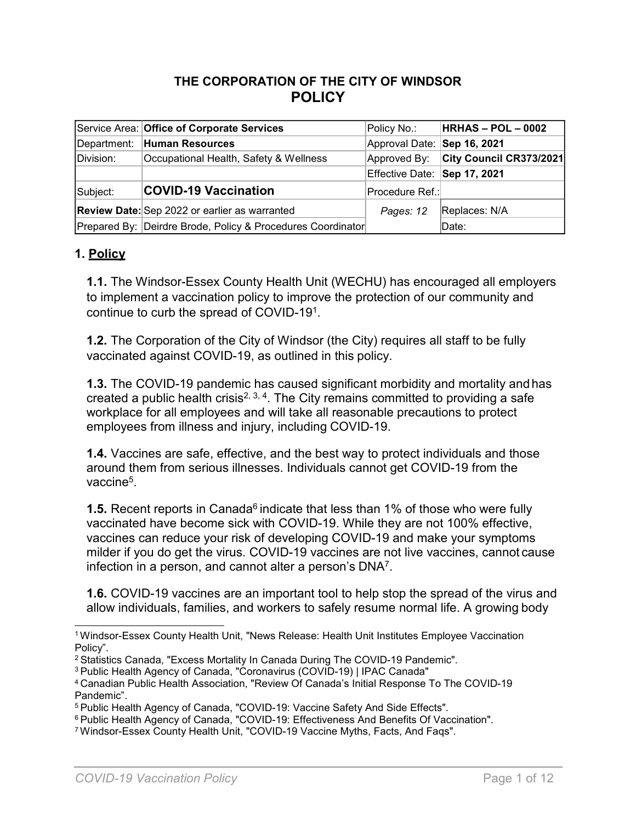# **THE CORPORATION OF THE CITY OF WINDSOR POLICY**

|           | Service Area: Office of Corporate Services                  | Policy No.:                  | $HRHAS - POL - 0002$    |
|-----------|-------------------------------------------------------------|------------------------------|-------------------------|
|           | Department: Human Resources                                 | Approval Date: Sep 16, 2021  |                         |
| Division: | Occupational Health, Safety & Wellness                      | Approved By:                 | City Council CR373/2021 |
|           |                                                             | Effective Date: Sep 17, 2021 |                         |
| Subject:  | <b>COVID-19 Vaccination</b>                                 | Procedure Ref.:              |                         |
|           | <b>Review Date:</b> Sep 2022 or earlier as warranted        | Pages: 12                    | Replaces: N/A           |
|           | Prepared By: Deirdre Brode, Policy & Procedures Coordinator |                              | Date:                   |

### **1. Policy**

**1.1.** The Windsor-Essex County Health Unit (WECHU) has encouraged all employers to implement a vaccination policy to improve the protection of our community and continue to curb the spread of COVID-19<sup>1</sup>.

**1.2.** The Corporation of the City of Windsor (the City) requires all staff to be fully vaccinated against COVID-19, as outlined in this policy.

**1.3.** The COVID-19 pandemic has caused significant morbidity and mortality and has created a public health crisis<sup>2, 3, 4</sup>. The City remains committed to providing a safe workplace for all employees and will take all reasonable precautions to protect employees from illness and injury, including COVID-19.

**1.4.** Vaccines are safe, effective, and the best way to protect individuals and those around them from serious illnesses. Individuals cannot get COVID-19 from the vaccine<sup>5</sup>.

**1.5.** Recent reports in Canada<sup>6</sup> indicate that less than 1% of those who were fully vaccinated have become sick with COVID-19. While they are not 100% effective, vaccines can reduce your risk of developing COVID-19 and make your symptoms milder if you do get the virus. COVID-19 vaccines are not live vaccines, cannot cause infection in a person, and cannot alter a person's  $DNA<sup>7</sup>$ .

**1.6.** COVID-19 vaccines are an important tool to help stop the spread of the virus and allow individuals, families, and workers to safely resume normal life. A [growing](https://www.cdc.gov/coronavirus/2019-ncov/science/science-briefs/fully-vaccinated-people.html) body

<sup>1</sup>Windsor-Essex County Health Unit, "News Release: Health Unit Institutes Employee Vaccination Policy".

<sup>&</sup>lt;sup>2</sup> Statistics Canada, "Excess Mortality In Canada During The COVID-19 Pandemic".

<sup>3</sup>Public Health Agency of Canada, "Coronavirus (COVID-19) | IPAC Canada"

<sup>4</sup>Canadian Public Health Association, "Review Of Canada's Initial Response To The COVID-19 Pandemic".

 $^5$ Public Health Agency of Canada, "COVID-19: Vaccine Safety And Side Effects".

 $^6$  Public Health Agency of Canada, "COVID-19: Effectiveness And Benefits Of Vaccination".

<sup>7</sup> Windsor-Essex County Health Unit, "COVID-19 Vaccine Myths, Facts, And Faqs".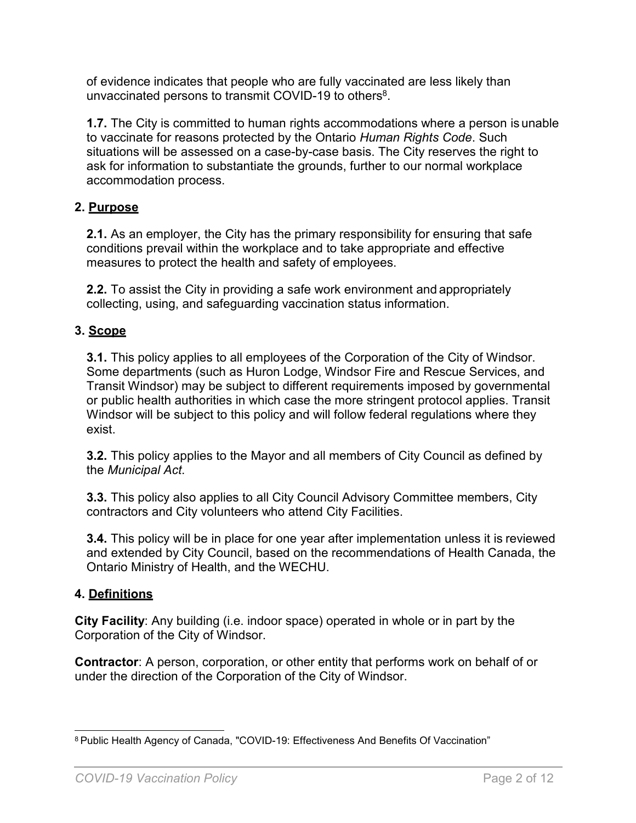[of evidence i](https://www.cdc.gov/coronavirus/2019-ncov/science/science-briefs/fully-vaccinated-people.html)ndicates that people who are fully vaccinated are less likely than unvaccinated persons to transmit COVID-19 to others $^8$ .

**1.7.** The City is committed to human rights accommodations where a person is unable to vaccinate for reasons protected by the Ontario *Human Rights Code*. Such situations will be assessed on a case-by-case basis. The City reserves the right to ask for information to substantiate the grounds, further to our normal workplace accommodation process.

# **2. Purpose**

**2.1.** As an employer, the City has the primary responsibility for ensuring that safe conditions prevail within the workplace and to take appropriate and effective measures to protect the health and safety of employees.

**2.2.** To assist the City in providing a safe work environment and appropriately collecting, using, and safeguarding vaccination status information.

# **3. Scope**

**3.1.** This policy applies to all employees of the Corporation of the City of Windsor. Some departments (such as Huron Lodge, Windsor Fire and Rescue Services, and Transit Windsor) may be subject to different requirements imposed by governmental or public health authorities in which case the more stringent protocol applies. Transit Windsor will be subject to this policy and will follow federal regulations where they exist.

**3.2.** This policy applies to the Mayor and all members of City Council as defined by the *Municipal Act*.

**3.3.** This policy also applies to all City Council Advisory Committee members, City contractors and City volunteers who attend City Facilities.

**3.4.** This policy will be in place for one year after implementation unless it is reviewed and extended by City Council, based on the recommendations of Health Canada, the Ontario Ministry of Health, and the WECHU.

# **4. Definitions**

**City Facility**: Any building (i.e. indoor space) operated in whole or in part by the Corporation of the City of Windsor.

**Contractor**: A person, corporation, or other entity that performs work on behalf of or under the direction of the Corporation of the City of Windsor.

<sup>8</sup> Public Health Agency of Canada, "COVID-19: Effectiveness And Benefits Of Vaccination"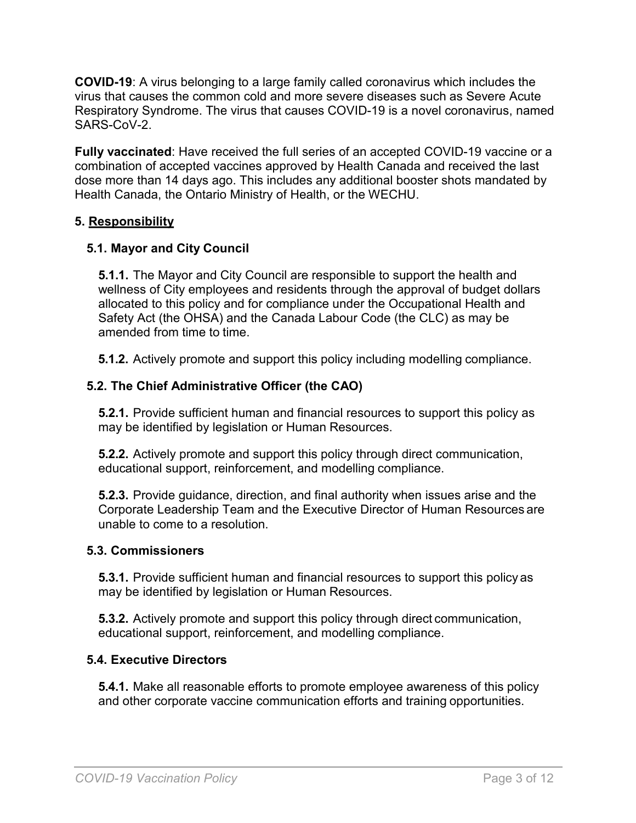**COVID-19**: A virus belonging to a large family called coronavirus which includes the virus that causes the common cold and more severe diseases such as Severe Acute Respiratory Syndrome. The virus that causes COVID-19 is a novel coronavirus, named SARS-CoV-2.

**Fully vaccinated**: Have received the full series of an accepted COVID-19 vaccine or a combination of accepted vaccines approved by Health Canada and received the last dose more than 14 days ago. This includes any additional booster shots mandated by Health Canada, the Ontario Ministry of Health, or the WECHU.

#### **5. Responsibility**

### **5.1. Mayor and City Council**

**5.1.1.** The Mayor and City Council are responsible to support the health and wellness of City employees and residents through the approval of budget dollars allocated to this policy and for compliance under the Occupational Health and Safety Act (the OHSA) and the Canada Labour Code (the CLC) as may be amended from time to time.

**5.1.2.** Actively promote and support this policy including modelling compliance.

### **5.2. The Chief Administrative Officer (the CAO)**

**5.2.1.** Provide sufficient human and financial resources to support this policy as may be identified by legislation or Human Resources.

**5.2.2.** Actively promote and support this policy through direct communication, educational support, reinforcement, and modelling compliance.

**5.2.3.** Provide guidance, direction, and final authority when issues arise and the Corporate Leadership Team and the Executive Director of Human Resources are unable to come to a resolution.

#### **5.3. Commissioners**

**5.3.1.** Provide sufficient human and financial resources to support this policy as may be identified by legislation or Human Resources.

**5.3.2.** Actively promote and support this policy through direct communication, educational support, reinforcement, and modelling compliance.

### **5.4. Executive Directors**

**5.4.1.** Make all reasonable efforts to promote employee awareness of this policy and other corporate vaccine communication efforts and training opportunities.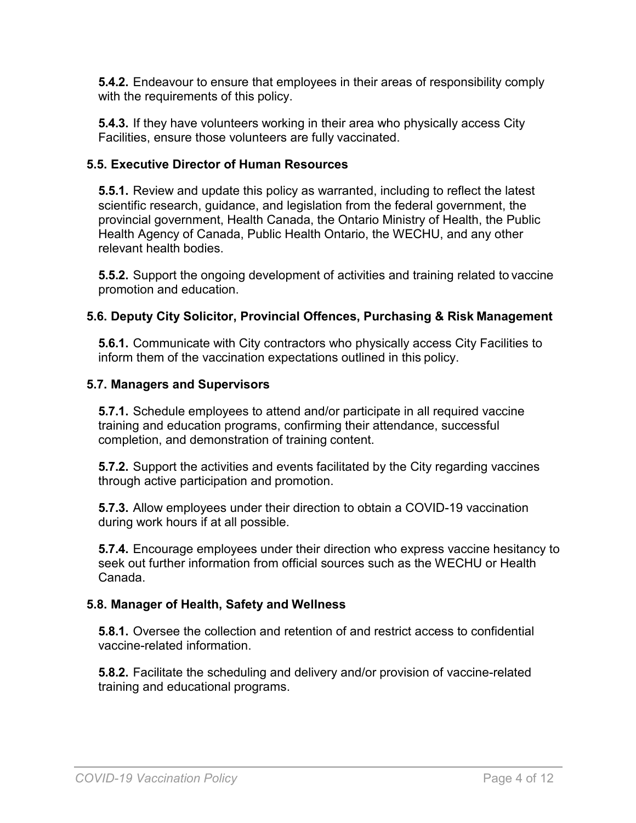**5.4.2.** Endeavour to ensure that employees in their areas of responsibility comply with the requirements of this policy.

**5.4.3.** If they have volunteers working in their area who physically access City Facilities, ensure those volunteers are fully vaccinated.

## **5.5. Executive Director of Human Resources**

**5.5.1.** Review and update this policy as warranted, including to reflect the latest scientific research, guidance, and legislation from the federal government, the provincial government, Health Canada, the Ontario Ministry of Health, the Public Health Agency of Canada, Public Health Ontario, the WECHU, and any other relevant health bodies.

**5.5.2.** Support the ongoing development of activities and training related to vaccine promotion and education.

# **5.6. Deputy City Solicitor, Provincial Offences, Purchasing & Risk Management**

**5.6.1.** Communicate with City contractors who physically access City Facilities to inform them of the vaccination expectations outlined in this policy.

### **5.7. Managers and Supervisors**

**5.7.1.** Schedule employees to attend and/or participate in all required vaccine training and education programs, confirming their attendance, successful completion, and demonstration of training content.

**5.7.2.** Support the activities and events facilitated by the City regarding vaccines through active participation and promotion.

**5.7.3.** Allow employees under their direction to obtain a COVID-19 vaccination during work hours if at all possible.

**5.7.4.** Encourage employees under their direction who express vaccine hesitancy to seek out further information from official sources such as the WECHU or Health Canada.

### **5.8. Manager of Health, Safety and Wellness**

**5.8.1.** Oversee the collection and retention of and restrict access to confidential vaccine-related information.

**5.8.2.** Facilitate the scheduling and delivery and/or provision of vaccine-related training and educational programs.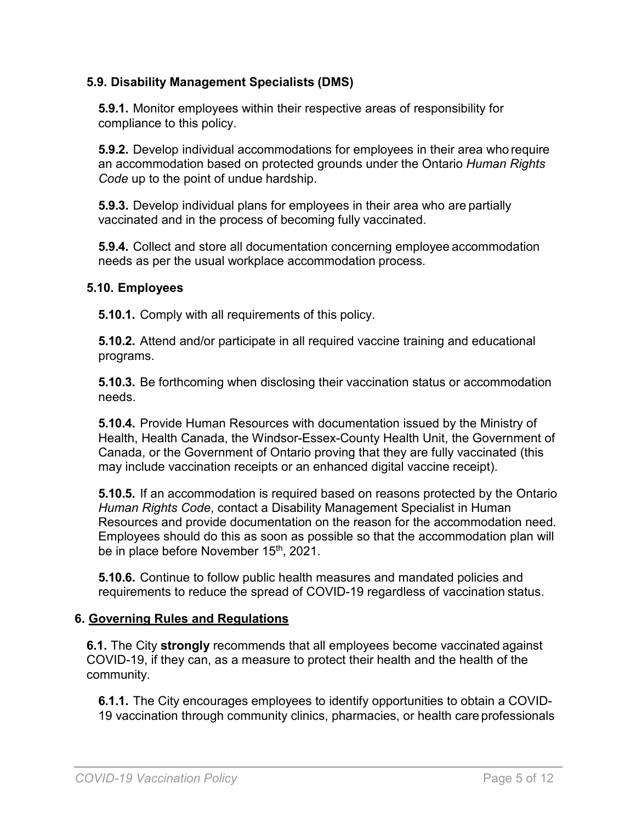## **5.9. Disability Management Specialists (DMS)**

**5.9.1.** Monitor employees within their respective areas of responsibility for compliance to this policy.

**5.9.2.** Develop individual accommodations for employees in their area who require an accommodation based on protected grounds under the Ontario *Human Rights Code* up to the point of undue hardship.

**5.9.3.** Develop individual plans for employees in their area who are partially vaccinated and in the process of becoming fully vaccinated.

**5.9.4.** Collect and store all documentation concerning employee accommodation needs as per the usual workplace accommodation process.

#### **5.10. Employees**

**5.10.1.** Comply with all requirements of this policy.

**5.10.2.** Attend and/or participate in all required vaccine training and educational programs.

**5.10.3.** Be forthcoming when disclosing their vaccination status or accommodation needs.

**5.10.4.** Provide Human Resources with documentation issued by the Ministry of Health, Health Canada, the Windsor-Essex-County Health Unit, the Government of Canada, or the Government of Ontario proving that they are fully vaccinated (this may include vaccination receipts or an enhanced digital vaccine receipt).

**5.10.5.** If an accommodation is required based on reasons protected by the Ontario *Human Rights Code*, contact a Disability Management Specialist in Human Resources and provide documentation on the reason for the accommodation need*.*  Employees should do this as soon as possible so that the accommodation plan will be in place before November 15<sup>th</sup>, 2021.

**5.10.6.** Continue to follow public health measures and mandated policies and requirements to reduce the spread of COVID-19 regardless of vaccination status.

### **6. Governing Rules and Regulations**

**6.1.** The City **strongly** recommends that all employees become vaccinated against COVID-19, if they can, as a measure to protect their health and the health of the community.

**6.1.1.** The City encourages employees to identify opportunities to obtain a COVID-19 vaccination through community clinics, pharmacies, or health care professionals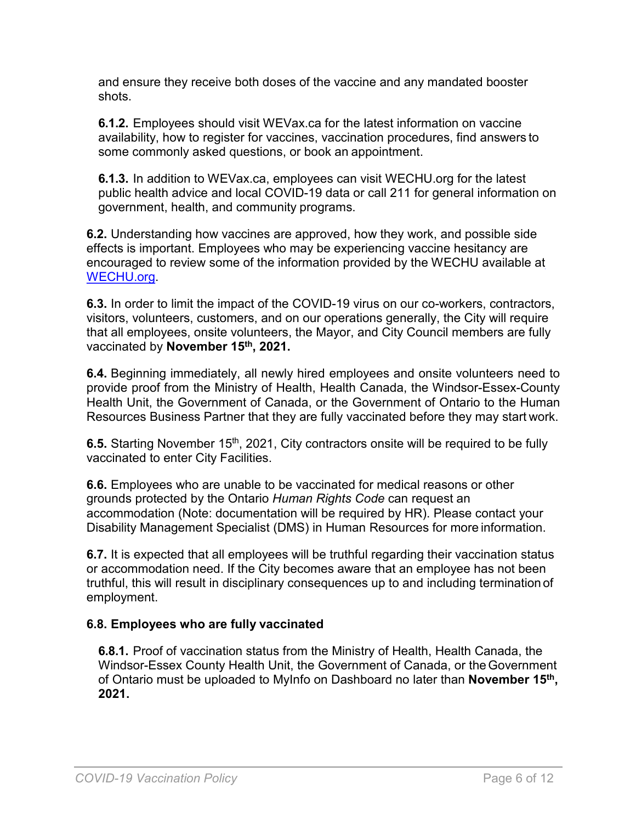and ensure they receive both doses of the vaccine and any mandated booster shots.

**6.1.2.** Employees should visit [WEVax.ca f](https://www.wechu.org/cv/clinics)or the latest information on vaccine availability, how to register for vaccines, vaccination procedures, find answers to some commonly asked questions, or book an appointment.

**6.1.3.** In addition to [WEVax.ca,](https://www.wechu.org/cv/clinics) employees can visit [WECHU.org f](https://www.wechu.org/)or the latest public health advice and local COVID-19 data or call 211 for general information on government, health, and community programs.

**6.2.** Understanding how vaccines are approved, how they work, and possible side effects is important. Employees who may be experiencing vaccine hesitancy are encouraged to review some of the information provided by the WECHU available a[t](https://www.wechu.org/cv/guidance-documents-covid-19-vaccination) [WECHU.org.](https://www.wechu.org/cv/guidance-documents-covid-19-vaccination)

**6.3.** In order to limit the impact of the COVID-19 virus on our co-workers, contractors, visitors, volunteers, customers, and on our operations generally, the City will require that all employees, onsite volunteers, the Mayor, and City Council members are fully vaccinated by **November 15th , 2021.**

**6.4.** Beginning immediately, all newly hired employees and onsite volunteers need to provide proof from the Ministry of Health, Health Canada, the Windsor-Essex-County Health Unit, the Government of Canada, or the Government of Ontario to the Human Resources Business Partner that they are fully vaccinated before they may start work.

**6.5.** Starting November 15<sup>th</sup>, 2021, City contractors onsite will be required to be fully vaccinated to enter City Facilities.

**6.6.** Employees who are unable to be vaccinated for medical reasons or other grounds protected by the Ontario *Human Rights Code* can request an accommodation (Note: documentation will be required by HR). Please contact your Disability Management Specialist (DMS) in Human Resources for more information.

**6.7.** It is expected that all employees will be truthful regarding their vaccination status or accommodation need. If the City becomes aware that an employee has not been truthful, this will result in disciplinary consequences up to and including termination of employment.

### **6.8. Employees who are fully vaccinated**

**6.8.1.** Proof of vaccination status from the Ministry of Health, Health Canada, the Windsor-Essex County Health Unit, the Government of Canada, or theGovernment of Ontario must be uploaded to MyInfo on Dashboard no later than **November 15th , 2021.**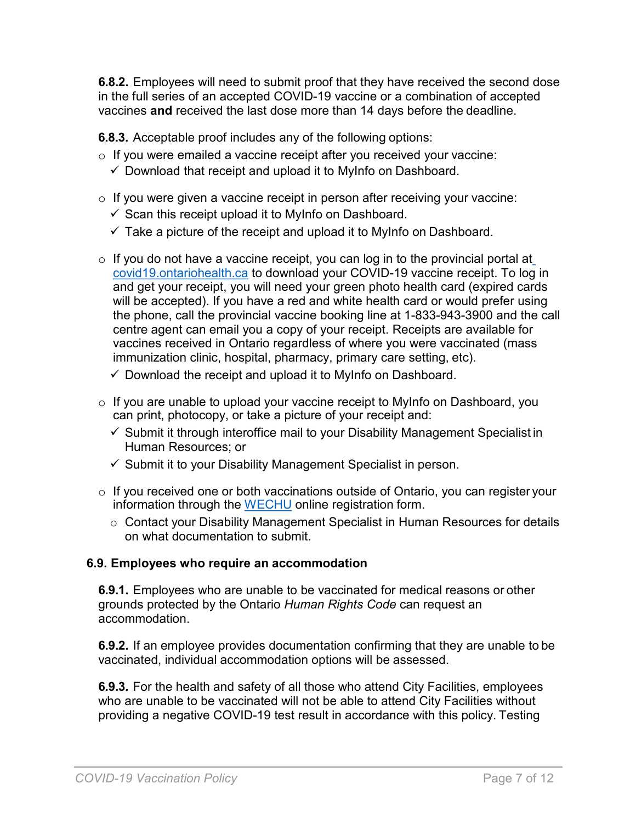**6.8.2.** Employees will need to submit proof that they have received the second dose in the full series of an accepted COVID-19 vaccine or a combination of accepted vaccines **and** received the last dose more than 14 days before the deadline.

**6.8.3.** Acceptable proof includes any of the following options:

- o If you were emailed a vaccine receipt after you received your vaccine:
	- $\checkmark$  Download that receipt and upload it to MyInfo on Dashboard.
- $\circ$  If you were given a vaccine receipt in person after receiving your vaccine:
	- $\checkmark$  Scan this receipt upload it to MyInfo on Dashboard.
	- $\checkmark$  Take a picture of the receipt and upload it to MyInfo on Dashboard.
- $\circ$  If you do not have a vaccine receipt, you can log in to the provincial portal at [covid19.ontariohealth.ca](https://covid19.ontariohealth.ca/) to download your COVID-19 vaccine receipt. To log in and get your receipt, you will need your green photo health card (expired cards will be accepted). If you have a red and white health card or would prefer using the phone, call the provincial vaccine booking line at 1-833-943-3900 and the call centre agent can email you a copy of your receipt. Receipts are available for vaccines received in Ontario regardless of where you were vaccinated (mass immunization clinic, hospital, pharmacy, primary care setting, etc).
	- $\checkmark$  Download the receipt and upload it to MyInfo on Dashboard.
- o If you are unable to upload your vaccine receipt to MyInfo on Dashboard, you can print, photocopy, or take a picture of your receipt and:
	- $\checkmark$  Submit it through interoffice mail to your Disability Management Specialist in Human Resources; or
	- $\checkmark$  Submit it to your Disability Management Specialist in person.
- o If you received one or both vaccinations outside of Ontario, you can register your information through the [WECHU](https://survey.wechu.org/index.php/654453?newtest=Y&lang=en) online registration form.
	- o Contact your Disability Management Specialist in Human Resources for details on what documentation to submit.

#### **6.9. Employees who require an accommodation**

**6.9.1.** Employees who are unable to be vaccinated for medical reasons or other grounds protected by the Ontario *Human Rights Code* can request an accommodation.

**6.9.2.** If an employee provides documentation confirming that they are unable to be vaccinated, individual accommodation options will be assessed.

**6.9.3.** For the health and safety of all those who attend City Facilities, employees who are unable to be vaccinated will not be able to attend City Facilities without providing a negative COVID-19 test result in accordance with this policy. Testing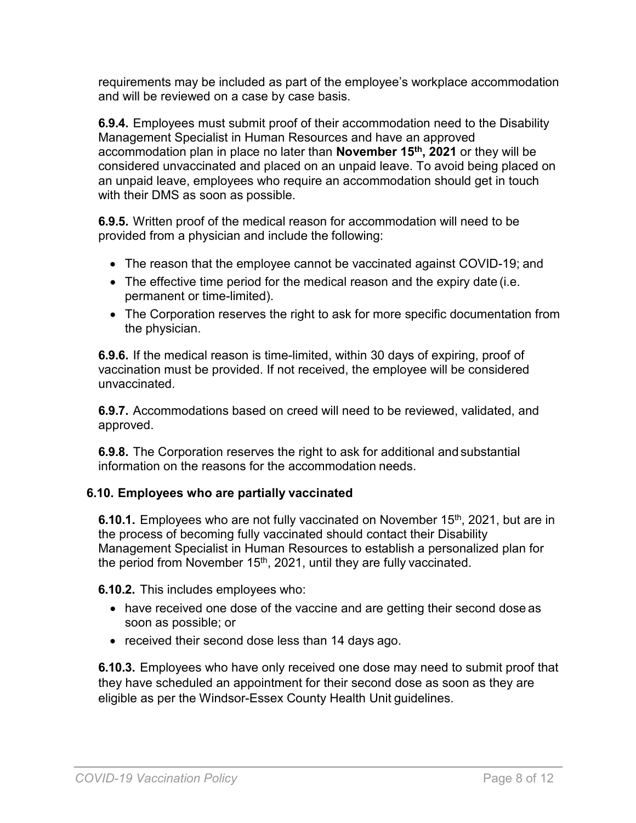requirements may be included as part of the employee's workplace accommodation and will be reviewed on a case by case basis.

**6.9.4.** Employees must submit proof of their accommodation need to the Disability Management Specialist in Human Resources and have an approved accommodation plan in place no later than **November 15th, 2021** or they will be considered unvaccinated and placed on an unpaid leave. To avoid being placed on an unpaid leave, employees who require an accommodation should get in touch with their DMS as soon as possible.

**6.9.5.** Written proof of the medical reason for accommodation will need to be provided from a physician and include the following:

- The reason that the employee cannot be vaccinated against COVID-19; and
- The effective time period for the medical reason and the expiry date (i.e. permanent or time-limited).
- The Corporation reserves the right to ask for more specific documentation from the physician.

**6.9.6.** If the medical reason is time-limited, within 30 days of expiring, proof of vaccination must be provided. If not received, the employee will be considered unvaccinated.

**6.9.7.** Accommodations based on creed will need to be reviewed, validated, and approved.

**6.9.8.** The Corporation reserves the right to ask for additional and substantial information on the reasons for the accommodation needs.

# **6.10. Employees who are partially vaccinated**

**6.10.1.** Employees who are not fully vaccinated on November 15<sup>th</sup>, 2021, but are in the process of becoming fully vaccinated should contact their Disability Management Specialist in Human Resources to establish a personalized plan for the period from November 15<sup>th</sup>, 2021, until they are fully vaccinated.

**6.10.2.** This includes employees who:

- have received one dose of the vaccine and are getting their second dose as soon as possible; or
- received their second dose less than 14 days ago.

**6.10.3.** Employees who have only received one dose may need to submit proof that they have scheduled an appointment for their second dose as soon as they are eligible as per the Windsor-Essex County Health Unit guidelines.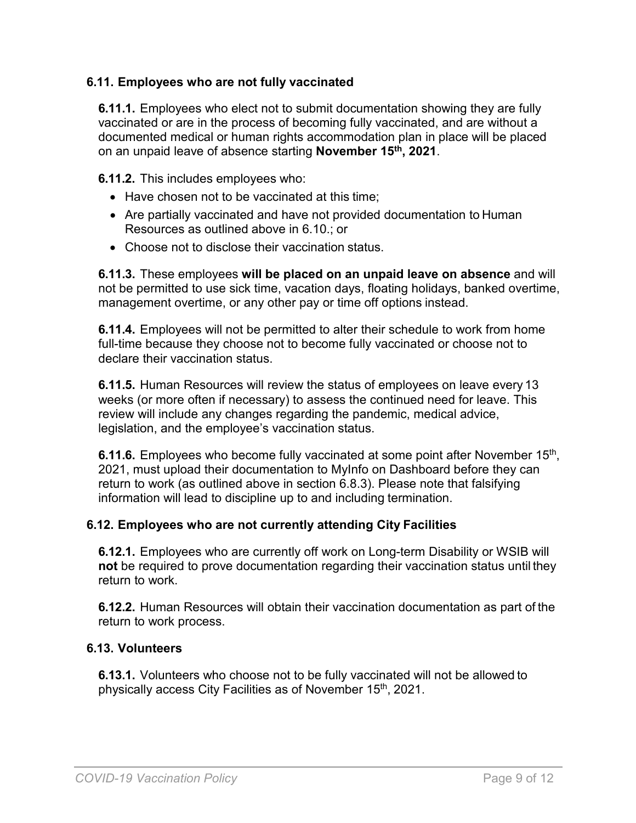### **6.11. Employees who are not fully vaccinated**

**6.11.1.** Employees who elect not to submit documentation showing they are fully vaccinated or are in the process of becoming fully vaccinated, and are without a documented medical or human rights accommodation plan in place will be placed on an unpaid leave of absence starting **November 15th , 2021**.

**6.11.2.** This includes employees who:

- Have chosen not to be vaccinated at this time:
- Are partially vaccinated and have not provided documentation to Human Resources as outlined above in 6.10.; or
- Choose not to disclose their vaccination status.

**6.11.3.** These employees **will be placed on an unpaid leave on absence** and will not be permitted to use sick time, vacation days, floating holidays, banked overtime, management overtime, or any other pay or time off options instead.

**6.11.4.** Employees will not be permitted to alter their schedule to work from home full-time because they choose not to become fully vaccinated or choose not to declare their vaccination status.

**6.11.5.** Human Resources will review the status of employees on leave every 13 weeks (or more often if necessary) to assess the continued need for leave. This review will include any changes regarding the pandemic, medical advice, legislation, and the employee's vaccination status.

**6.11.6.** Employees who become fully vaccinated at some point after November 15<sup>th</sup>, 2021, must upload their documentation to MyInfo on Dashboard before they can return to work (as outlined above in section 6.8.3). Please note that falsifying information will lead to discipline up to and including termination.

### **6.12. Employees who are not currently attending City Facilities**

**6.12.1.** Employees who are currently off work on Long-term Disability or WSIB will **not** be required to prove documentation regarding their vaccination status until they return to work.

**6.12.2.** Human Resources will obtain their vaccination documentation as part of the return to work process.

### **6.13. Volunteers**

**6.13.1.** Volunteers who choose not to be fully vaccinated will not be allowed to physically access City Facilities as of November 15<sup>th</sup>, 2021.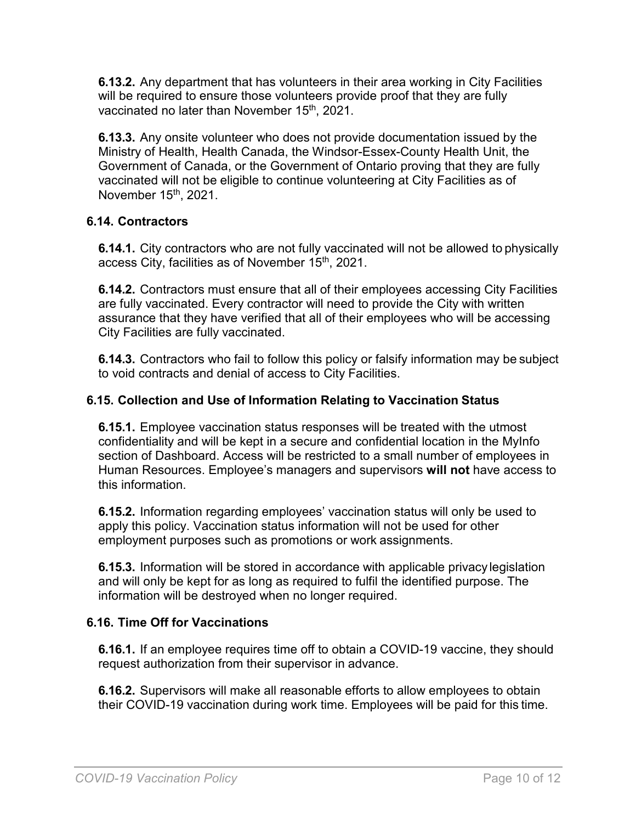**6.13.2.** Any department that has volunteers in their area working in City Facilities will be required to ensure those volunteers provide proof that they are fully vaccinated no later than November 15<sup>th</sup>, 2021.

**6.13.3.** Any onsite volunteer who does not provide documentation issued by the Ministry of Health, Health Canada, the Windsor-Essex-County Health Unit, the Government of Canada, or the Government of Ontario proving that they are fully vaccinated will not be eligible to continue volunteering at City Facilities as of November 15<sup>th</sup>, 2021.

## **6.14. Contractors**

**6.14.1.** City contractors who are not fully vaccinated will not be allowed to physically access City, facilities as of November 15<sup>th</sup>, 2021.

**6.14.2.** Contractors must ensure that all of their employees accessing City Facilities are fully vaccinated. Every contractor will need to provide the City with written assurance that they have verified that all of their employees who will be accessing City Facilities are fully vaccinated.

**6.14.3.** Contractors who fail to follow this policy or falsify information may be subject to void contracts and denial of access to City Facilities.

## **6.15. Collection and Use of Information Relating to Vaccination Status**

**6.15.1.** Employee vaccination status responses will be treated with the utmost confidentiality and will be kept in a secure and confidential location in the MyInfo section of Dashboard. Access will be restricted to a small number of employees in Human Resources. Employee's managers and supervisors **will not** have access to this information.

**6.15.2.** Information regarding employees' vaccination status will only be used to apply this policy. Vaccination status information will not be used for other employment purposes such as promotions or work assignments.

**6.15.3.** Information will be stored in accordance with applicable privacy legislation and will only be kept for as long as required to fulfil the identified purpose. The information will be destroyed when no longer required.

### **6.16. Time Off for Vaccinations**

**6.16.1.** If an employee requires time off to obtain a COVID-19 vaccine, they should request authorization from their supervisor in advance.

**6.16.2.** Supervisors will make all reasonable efforts to allow employees to obtain their COVID-19 vaccination during work time. Employees will be paid for this time.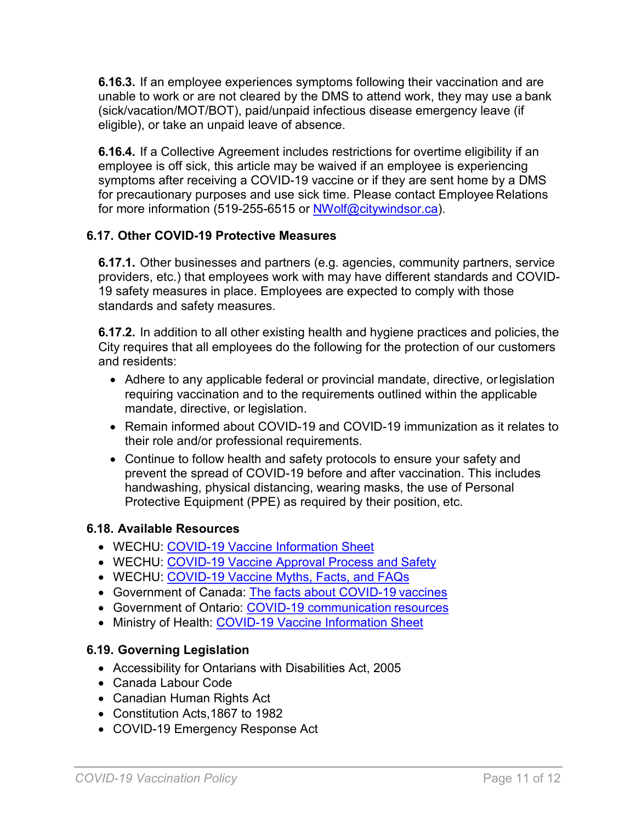**6.16.3.** If an employee experiences symptoms following their vaccination and are unable to work or are not cleared by the DMS to attend work, they may use a bank (sick/vacation/MOT/BOT), paid/unpaid infectious disease emergency leave (if eligible), or take an unpaid leave of absence.

**6.16.4.** If a Collective Agreement includes restrictions for overtime eligibility if an employee is off sick, this article may be waived if an employee is experiencing symptoms after receiving a COVID-19 vaccine or if they are sent home by a DMS for precautionary purposes and use sick time. Please contact Employee Relations for more information (519-255-6515 or [NWolf@citywindsor.ca\)](mailto:NWolf@citywindsor.ca).

# **6.17. Other COVID-19 Protective Measures**

**6.17.1.** Other businesses and partners (e.g. agencies, community partners, service providers, etc.) that employees work with may have different standards and COVID-19 safety measures in place. Employees are expected to comply with those standards and safety measures.

**6.17.2.** In addition to all other existing health and hygiene practices and policies, the City requires that all employees do the following for the protection of our customers and residents:

- Adhere to any applicable federal or provincial mandate, directive, orlegislation requiring vaccination and to the requirements outlined within the applicable mandate, directive, or legislation.
- Remain informed about COVID-19 and COVID-19 immunization as it relates to their role and/or professional requirements.
- Continue to follow health and safety protocols to ensure your safety and prevent the spread of COVID-19 before and after vaccination. This includes handwashing, physical distancing, wearing masks, the use of Personal Protective Equipment (PPE) as required by their position, etc.

# **6.18. Available Resources**

- WECHU: [COVID-19 Vaccine Information](https://www.health.gov.on.ca/en/pro/programs/publichealth/coronavirus/docs/vaccine/COVID-19_vaccine_info_sheet.pdf) Sheet
- WECHU: [COVID-19 Vaccine Approval Process and](https://www.health.gov.on.ca/en/pro/programs/publichealth/coronavirus/docs/vaccine/COVID-19_vaccine_approval_process_safety.pdf) Safety
- WECHU: [COVID-19 Vaccine Myths, Facts, and](https://www.wechu.org/cv/covid-19-vaccine-myths-facts-and-faqs) FAQs
- Government of Canada: [The facts about COVID-19](https://www.canada.ca/en/public-health/services/diseases/2019-novel-coronavirus-infection/awareness-resources/know-vaccine.html) vaccines
- Government of Ontario: [COVID-19 communication](https://www.ontario.ca/page/covid-19-communication-resources#vaccine-safety) resources
- Ministry of Health: [COVID-19 Vaccine](https://www.health.gov.on.ca/en/pro/programs/publichealth/coronavirus/docs/vaccine/COVID-19_vaccine_info_sheet.pdf) Information Sheet

# **6.19. Governing Legislation**

- Accessibility for Ontarians with Disabilities Act, 2005
- Canada Labour Code
- Canadian Human Rights Act
- Constitution Acts,1867 to 1982
- COVID-19 Emergency Response Act